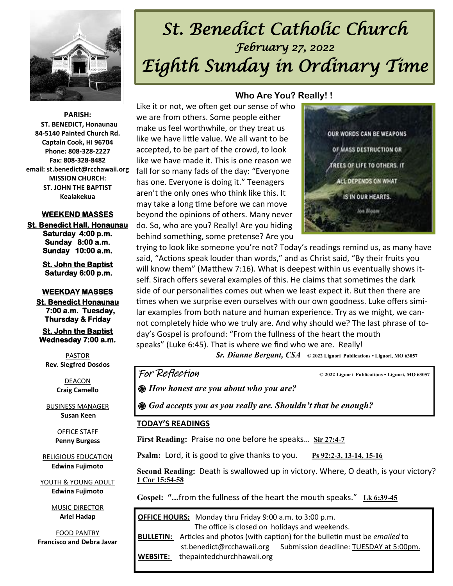

**PARISH: ST. BENEDICT, Honaunau 84-5140 Painted Church Rd. Captain Cook, HI 96704 Phone: 808-328-2227 Fax: 808-328-8482 email: st.benedict@rcchawaii.org MISSION CHURCH: ST. JOHN THE BAPTIST Kealakekua** 

#### **WEEKEND MASSES**

**St. Benedict Hall, Honaunau Saturday 4:00 p.m. Sunday 8:00 a.m. Sunday 10:00 a.m.** 

> **St. John the Baptist Saturday 6:00 p.m.**

#### **WEEKDAY MASSES**

**St. Benedict Honaunau 7:00 a.m. Tuesday, Thursday & Friday** 

**St. John the Baptist Wednesday 7:00 a.m.** 

PASTOR **Rev. Siegfred Dosdos**

> DEACON **Craig Camello**

BUSINESS MANAGER **Susan Keen**

> OFFICE STAFF **Penny Burgess**

RELIGIOUS EDUCATION **Edwina Fujimoto**

YOUTH & YOUNG ADULT **Edwina Fujimoto**

> MUSIC DIRECTOR **Ariel Hadap**

FOOD PANTRY **Francisco and Debra Javar**

# *St. Benedict Catholic Church February 27, 2022 Eighth Sunday in Ordinary Time*

### **Who Are You? Really! !**

Like it or not, we often get our sense of who we are from others. Some people either make us feel worthwhile, or they treat us like we have little value. We all want to be accepted, to be part of the crowd, to look like we have made it. This is one reason we fall for so many fads of the day: "Everyone has one. Everyone is doing it." Teenagers aren't the only ones who think like this. It may take a long time before we can move beyond the opinions of others. Many never do. So, who are you? Really! Are you hiding behind something, some pretense? Are you



trying to look like someone you're not? Today's readings remind us, as many have said, "Actions speak louder than words," and as Christ said, "By their fruits you will know them" (Matthew 7:16). What is deepest within us eventually shows itself. Sirach offers several examples of this. He claims that sometimes the dark side of our personalities comes out when we least expect it. But then there are times when we surprise even ourselves with our own goodness. Luke offers similar examples from both nature and human experience. Try as we might, we cannot completely hide who we truly are. And why should we? The last phrase of today's Gospel is profound: "From the fullness of the heart the mouth speaks" (Luke 6:45). That is where we find who we are. Really!

*Sr. Dianne Bergant, CSA* **© 2022 Liguori Publications • Liguori, MO 63057** 

For Reflection **© 2022 Liguori Publications • Liguori, MO 63057** 

*֍ How honest are you about who you are?* 

*֍ God accepts you as you really are. Shouldn't that be enough?* 

### **TODAY'S READINGS**

**First Reading:** Praise no one before he speaks… **[Sir 27:4-7](https://bible.usccb.org/bible/sirach/27?4)** 

**Psalm:** Lord, it is good to give thanks to you. [Ps 92:2-3, 13-14, 15-16](https://bible.usccb.org/bible/psalms/92?2)

**Second Reading:** Death is swallowed up in victory. Where, O death, is your victory? **[1 Cor 15:54-58](https://bible.usccb.org/bible/1corinthians/15?54)**

**Gospel: "...**from the fullness of the heart the mouth speaks." **[Lk 6:39-45](https://bible.usccb.org/bible/luke/6?39)** 

**OFFICE HOURS:** Monday thru Friday 9:00 a.m. to 3:00 p.m. The office is closed on holidays and weekends. **BULLETIN:** Articles and photos (with caption) for the bulletin must be *emailed* to st.benedict@rcchawaii.org Submission deadline: TUESDAY at 5:00pm. **WEBSITE:** thepaintedchurchhawaii.org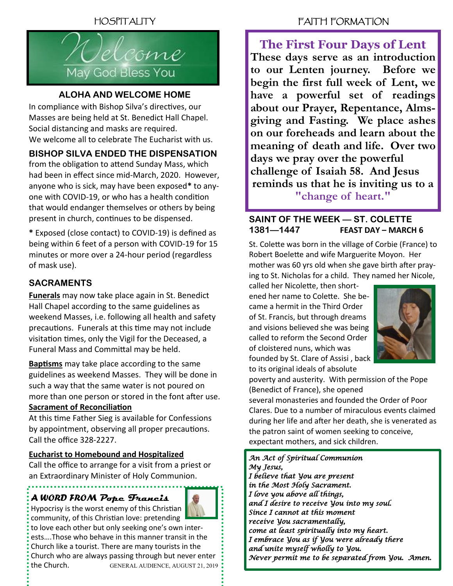HOSPITALITY



### **ALOHA AND WELCOME HOME**

In compliance with Bishop Silva's directives, our Masses are being held at St. Benedict Hall Chapel. Social distancing and masks are required. We welcome all to celebrate The Eucharist with us.

### **BISHOP SILVA ENDED THE DISPENSATION**

from the obligation to attend Sunday Mass, which had been in effect since mid-March, 2020. However, anyone who is sick, may have been exposed**\*** to anyone with COVID-19, or who has a health condition that would endanger themselves or others by being present in church, continues to be dispensed.

**\*** Exposed (close contact) to COVID-19) is defined as being within 6 feet of a person with COVID-19 for 15 minutes or more over a 24-hour period (regardless of mask use).

### **SACRAMENTS**

**Funerals** may now take place again in St. Benedict Hall Chapel according to the same guidelines as weekend Masses, i.e. following all health and safety precautions. Funerals at this time may not include visitation times, only the Vigil for the Deceased, a Funeral Mass and Committal may be held.

**Baptisms** may take place according to the same guidelines as weekend Masses. They will be done in such a way that the same water is not poured on more than one person or stored in the font after use. **Sacrament of Reconciliation**

At this time Father Sieg is available for Confessions by appointment, observing all proper precautions. Call the office 328-2227.

### **Eucharist to Homebound and Hospitalized**

Call the office to arrange for a visit from a priest or an Extraordinary Minister of Holy Communion.

### *A WORD FROM* **Pope Francis**



Hypocrisy is the worst enemy of this Christian community, of this Christian love: pretending to love each other but only seeking one's own inter-

ests….Those who behave in this manner transit in the Church like a tourist. There are many tourists in the Church who are always passing through but never enter the Church. GENERAL AUDIENCE, AUGUST 21, 2019

### FAITH FORMATION

**The First Four Days of Lent These days serve as an introduction to our Lenten journey. Before we begin the first full week of Lent, we have a powerful set of readings about our Prayer, Repentance, Almsgiving and Fasting. We place ashes on our foreheads and learn about the meaning of death and life. Over two days we pray over the powerful challenge of Isaiah 58. And Jesus reminds us that he is inviting us to a "change of heart."**

#### **SAINT OF THE WEEK — ST. COLETTE 1381—1447 FEAST DAY – MARCH 6**

St. Colette was born in the village of Corbie (France) to Robert Boelette and wife Marguerite Moyon. Her mother was 60 yrs old when she gave birth after praying to St. Nicholas for a child. They named her Nicole,

called her Nicolette, then shortened her name to Colette. She became a hermit in the Third Order of St. Francis, but through dreams and visions believed she was being called to reform the Second Order of cloistered nuns, which was founded by St. Clare of Assisi , back to its original ideals of absolute



poverty and austerity. With permission of the Pope (Benedict of France), she opened

several monasteries and founded the Order of Poor Clares. Due to a number of miraculous events claimed during her life and after her death, she is venerated as the [patron saint](https://en.wikipedia.org/wiki/Patron_saint) of women seeking to conceive, expectant mothers, and sick children.

*An Act of Spiritual Communion My Jesus, I believe that You are present in the Most Holy Sacrament. I love you above all things, and I desire to receive You into my soul. Since I cannot at this moment receive You sacramentally, come at least spiritually into my heart. I embrace You as if You were already there and unite myself wholly to You. Never permit me to be separated from You. Amen.*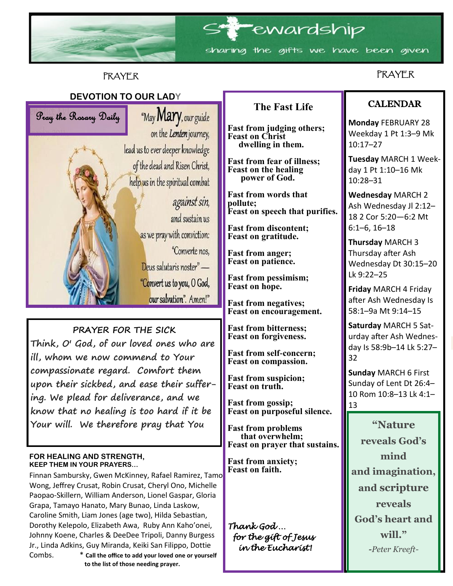

### **PRAYER**

### **PRAYER**

### **DEVOTION TO OUR LADY**



 **know that no healing is too hard if it be PRAYER FOR THE SICK Think, O' God, of our loved ones who are ill, whom we now commend to Your compassionate regard. Comfort them upon their sickbed, and ease their suffering. We plead for deliverance, and we Your will. We therefore pray that You** 

#### **FOR HEALING AND STRENGTH, KEEP THEM IN YOUR PRAYERS…**

Finnan Sambursky, Gwen McKinney, Rafael Ramirez, Tamo Wong, Jeffrey Crusat, Robin Crusat, Cheryl Ono, Michelle Paopao-Skillern, William Anderson, Lionel Gaspar, Gloria Grapa, Tamayo Hanato, Mary Bunao, Linda Laskow, Caroline Smith, Liam Jones (age two), Hilda Sebastian, Dorothy Kelepolo, Elizabeth Awa, Ruby Ann Kaho'onei, Johnny Koene, Charles & DeeDee Tripoli, Danny Burgess Jr., Linda Adkins, Guy Miranda, Keiki San Filippo, Dottie

Combs. \* **Call the office to add your loved one or yourself to the list of those needing prayer.**

**The Fast Life**

**Fast from judging others; Feast on Christ dwelling in them.**

**Fast from fear of illness; Feast on the healing power of God.**

**Fast from words that pollute; Feast on speech that purifies.**

**Fast from discontent; Feast on gratitude.**

**Fast from anger; Feast on patience.**

**Fast from pessimism; Feast on hope.**

**Fast from negatives; Feast on encouragement.**

**Fast from bitterness; Feast on forgiveness.**

**Fast from self-concern; Feast on compassion.**

**Fast from suspicion; Feast on truth.**

**Fast from gossip; Feast on purposeful silence.**

**Fast from problems that overwhelm; Feast on prayer that sustains.**

**Fast from anxiety; Feast on faith.**

*Thank God … for the gift of Jesus in the Eucharist!* 

### CALENDAR

**Monday** FEBRUARY 28 Weekday 1 Pt 1:3–9 Mk 10:17–27

**Tuesday** MARCH 1 Weekday 1 Pt 1:10–16 Mk 10:28–31

**Wednesday** MARCH 2 Ash Wednesday Jl 2:12– 18 2 Cor 5:20—6:2 Mt 6:1–6, 16–18

**Thursday** MARCH 3 Thursday after Ash Wednesday Dt 30:15–20 Lk 9:22–25

**Friday** MARCH 4 Friday after Ash Wednesday Is 58:1–9a Mt 9:14–15

**Saturday** MARCH 5 Saturday after Ash Wednesday Is 58:9b–14 Lk 5:27– 32

**Sunday** MARCH 6 First Sunday of Lent Dt 26:4– 10 Rom 10:8–13 Lk 4:1– 13

**"Nature reveals God's mind and imagination, and scripture reveals God's heart and will."** *-Peter Kreeft-*